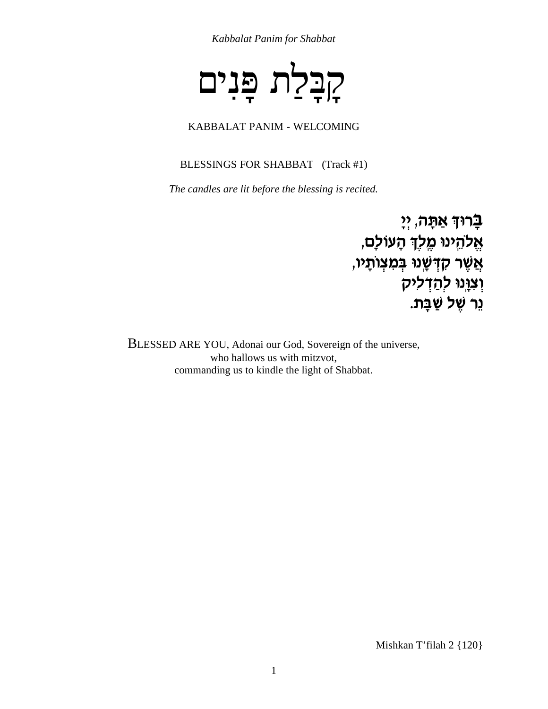Kabbalat Panim for Shabbat



#### KABBALAT PANIM - WELCOMING

BLESSINGS FOR SHABBAT (Track #1)

The candles are lit before the blessing is recited.

בָרוּךְ אַתָּה, יְיָ אֱלהֵינוּ מֶלֶךְ הָעוֹלָם, אֲשֶׁר קִדְּשָׁנוּ בְּמִצְוֹתָיו, וְצוָּנוּ לְהַדְליק ְנֵר שֵׁל שַׁבָּת.

BLESSED ARE YOU, Adonai our God, Sovereign of the universe, who hallows us with mitzvot, commanding us to kindle the light of Shabbat.

Mishkan T'filah 2 {120}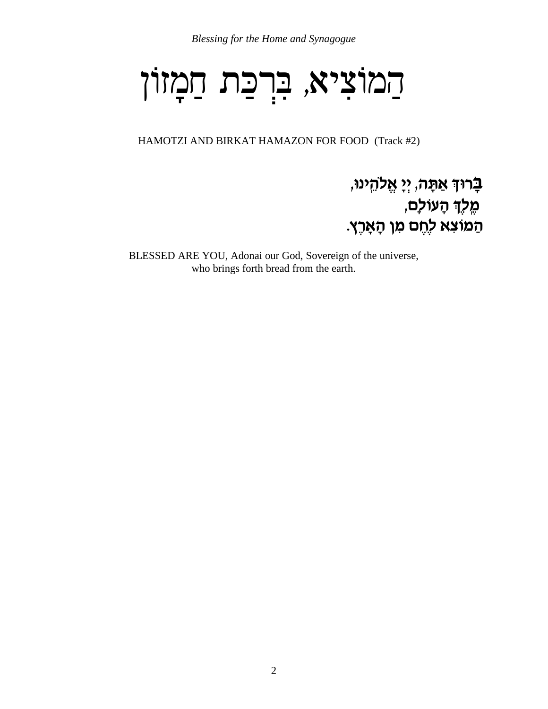# הַמוֹצִיא, בִּרְכַּת חַמְזוֹן

HAMOTZI AND BIRKAT HAMAZON FOR FOOD (Track #2)

#### בָרוּךְ אַתָּה, יְיָ אֱלהֵינוּ, מֶלֶךְ הָעוֹלָם, הַמוֹצָא לְחֶם מִן הָאָרֶץ.

BLESSED ARE YOU, Adonai our God, Sovereign of the universe, who brings forth bread from the earth.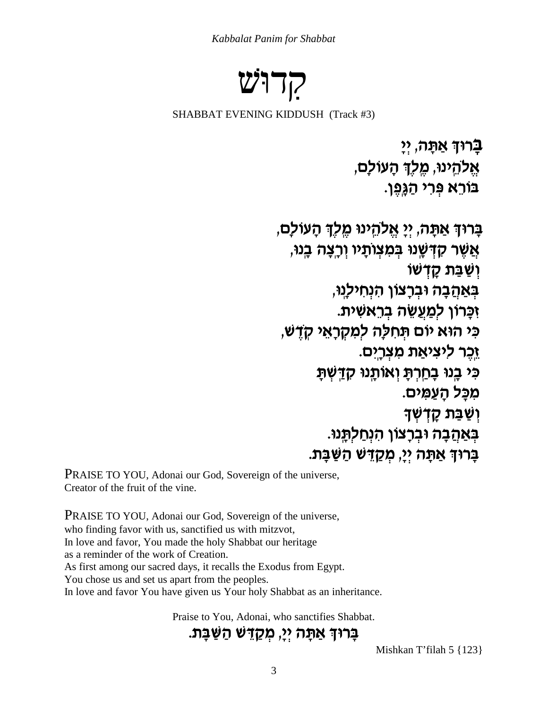Kabbalat Panim for Shabbat

קרוש

SHABBAT EVENING KIDDUSH (Track #3)

ברוד אתה, יי אֱלהֱינו, מֱלֶךְ הָעוֹלַם, בורָא פְּרִי הַגֲפֵן.

בָרוּךְ אַתָּה, יִיַ אֱלְהֵינוּ מֵלֶךְ הָעוֹלָם, אֲשֶׁר קָדְשָׁנוּ בִּמְצְוּתַיו וְרַצָּה בֵנוּ, ושבת קדשו בְּאַהָבָה וּבְרַצוֹן הִנְחִילְנוּ, ַזְכָּרוֹן לְמַעֲשֶׂה בְרֵאשִׁית. כי הוא יום תחלה למקראי קדש, ַזְכֵר ליציאַת מִצְרָים. כי בנו בחרת ואותנו קדשת מכַל הַעֲמִים. וְשַׁבַּת קָדָשָׁךָ בְּאַחֲבָה וּבְרָצוֹן הִנְחַלְתֵּנוּ. ּבָּרוּךְ אַתָּה יְיָ, מִקַדָּשׁ הַשַּׁבָּת.

PRAISE TO YOU, Adonai our God, Sovereign of the universe, Creator of the fruit of the vine.

**PRAISE TO YOU, Adonai our God, Sovereign of the universe,** who finding favor with us, sanctified us with mitzvot, In love and favor, You made the holy Shabbat our heritage as a reminder of the work of Creation. As first among our sacred days, it recalls the Exodus from Egypt. You chose us and set us apart from the peoples. In love and favor You have given us Your holy Shabbat as an inheritance.

Praise to You, Adonai, who sanctifies Shabbat.

ַבְּרוּךְ אַתָּה יְיָ, מִקַדֵּשׁ הַשַּׁבָּת.

Mishkan T'filah  $5 \{123\}$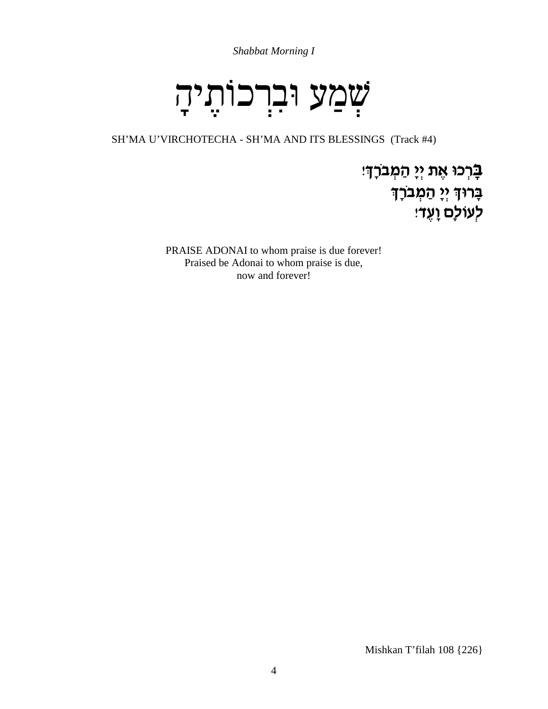Shabbat Morning I

# שֲמַע וּברכוֹתֵיהָ

SH'MA U'VIRCHOTECHA - SH'MA AND ITS BLESSINGS (Track #4)

ַבְּרְכוּ אֶת יְיָ הַמְּבֹרָךָיִ ּבָרוּךְ יְיָ הַמְּבֹרָךָ ּלְעוֹלָם וָעֶד׃

PRAISE ADONAI to whom praise is due forever! Praised be Adonai to whom praise is due, now and forever!

Mishkan T'filah 108 {226}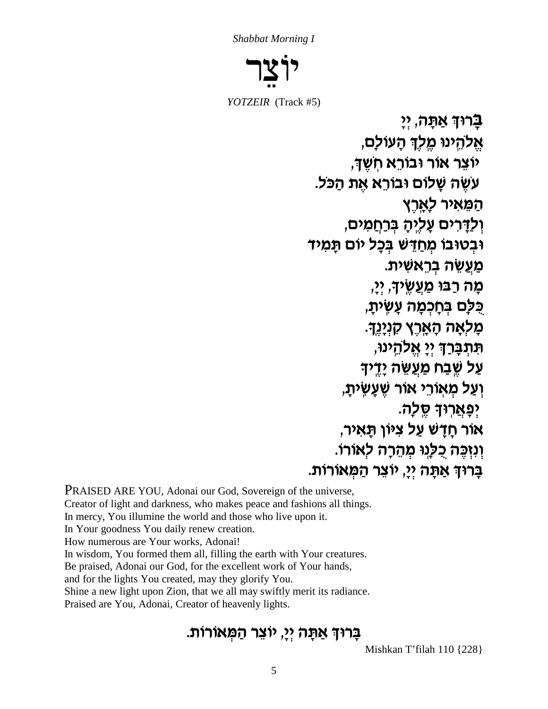Shabbat Morning I



YOTZEIR (Track #5)

ַבְרוּדְ אַתֲה, יִי אֵלהֵינוּ מֵלִךְ הָעוֹלָם, יוצר אור ובורא חשד. עשה שַלוֹם וּבוֹרֵא אֶת הַכּל. ַהַמֵּאיר לְאֲרֵץ וְלַדְרִים עֲלֵיהָ בְּרָחֲמִים, ובטובו מְחַדָּשׁ בִּכַל יוֹם תַּמְיד מעשה בראשית. מה רבו מַעֲשִׂיד, יי, ְכִלַּם בְּחָכְמָה עָשִׂיתָ, ַמַלְאָה הָאֲרֶץ קִנְיַנֵךָ. תּתִבָּרַךְ יִיַ אֱלהֵינוּ, עַל שֵׁבַח מַעֲשֶׂה יַדָּיד וְעַל מְאוֹרֵי אוֹר שֵׁעֲשִׂיתַ, <u>יפָאֲ</u>רוּךָ סֵלַה. אור חַדַשׁ עַל צִיּוֹן תַּאִיר, וְנִזְכֵּה כְלַנֵוּ מְהֶרָה לְאוֹרוֹ. בָרוּךְ אַתָּה יִיָ, יוֹצֵר הַמְּאוֹרוֹת.

**PRAISED ARE YOU, Adonai our God, Sovereign of the universe,** Creator of light and darkness, who makes peace and fashions all things. In mercy, You illumine the world and those who live upon it. In Your goodness You daily renew creation. How numerous are Your works, Adonai! In wisdom, You formed them all, filling the earth with Your creatures. Be praised, Adonai our God, for the excellent work of Your hands, and for the lights You created, may they glorify You. Shine a new light upon Zion, that we all may swiftly merit its radiance. Praised are You, Adonai, Creator of heavenly lights.

#### ָבָרוּךְ אַתָּה יְיָ, יוֹצֵר הַמְּאוֹרוֹת.

Mishkan T'filah 110 {228}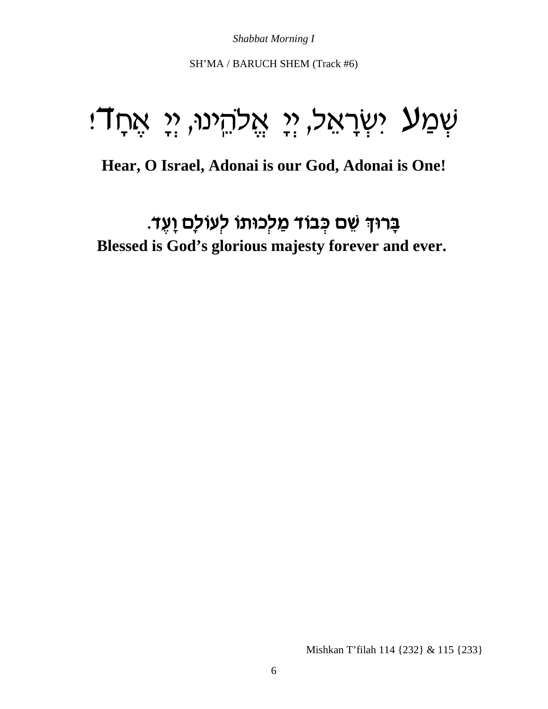**Shabbat Morning I** 

SH'MA / BARUCH SHEM (Track #6)

### ּשְׁמַע יִשְׂרָאֵל, יְיָ אֱלֹהֵינוּ, יְיָ אֶחֲדֹוּ

#### Hear, O Israel, Adonai is our God, Adonai is One!

#### בָרוּךְ שֵׁם כְּבוֹד מַלְכוּתוֹ לְעוֹלַם וַעֵּד. Blessed is God's glorious majesty forever and ever.

Mishkan T'filah 114 {232} & 115 {233}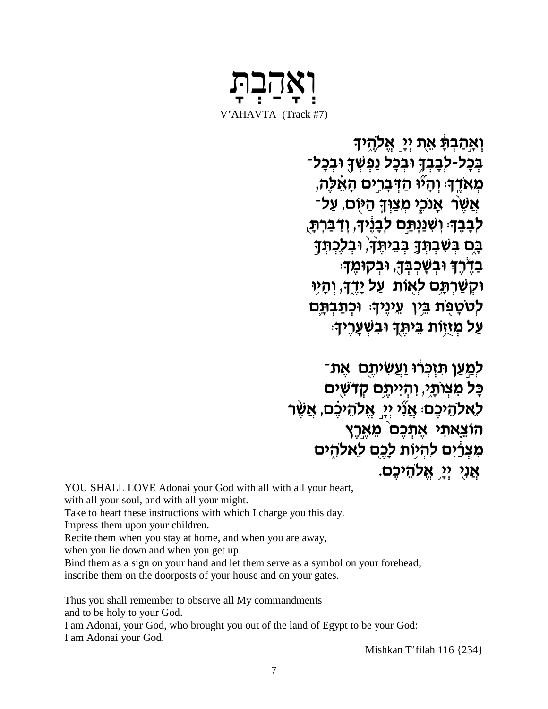

וְאַהַבְּתָּׁ אֶת יְיַ אֱלֹהֶיךָ בִּכָל-לִבָבְךָ וּבִכָל נַפְשְׁךָ וּבִכָל־ מְאַדֵּהּ וְהָיוּ הַדְּבָרִים הָאֵלָה, אֲשֶׂר אָנכֶי מִצַּוְדָּ הַיּוֹם, עַל־ לִבָּבֵדִּ: וְשְׁנַּנְתֵּם לִבָּנֵידָ, וְדִבְּרִתָּ, בָם בִּשְׁבְתָּךָ בְּבֵיתֵךָ וּבִלְכִתְּךָ ּבְדָרֵךָ וּבִשָּׁכִבְּךָ, וּבְקוּמֵךָ: ּוּקְשַׁרְתָּם לְאָוֹת עַל יָדֶךָ, וְהָיִוּ לְטטְפֻת בֵּין עֵינֶיךָ: וּכְתַבְתֵּם עַל מְזֶזֹוֹת בֵּיתֵךְ וּבְשְׁעֲרֵיךָ:

ַלְמֵעֲן תִּזְכְּרוּ וַעֲשִׂיתֶם אֱת־ כָּל מִצְוּתָי, וְהִייְתֵם קָדּשִׁים לָאלהֵיכֵם אֲנְי יִיֵ אֱלהֵיכֵם, אֲשֶׁר ּהוֹצֵאתִי אֵתְּכֵם מֵאֵרֵץ מִצְרַ֫יִם להִיוֹת לְכֵם לְאלהִים אֲנִי יִיַ אֱלְהֵיכֵם.

YOU SHALL LOVE Adonai your God with all with all your heart,

with all your soul, and with all your might.

Take to heart these instructions with which I charge you this day.

Impress them upon your children.

Recite them when you stay at home, and when you are away,

when you lie down and when you get up.

Bind them as a sign on your hand and let them serve as a symbol on your forehead; inscribe them on the doorposts of your house and on your gates.

Thus you shall remember to observe all My commandments

and to be holy to your God.

I am Adonai, your God, who brought you out of the land of Egypt to be your God: I am Adonai your God.

Mishkan T'filah 116 {234}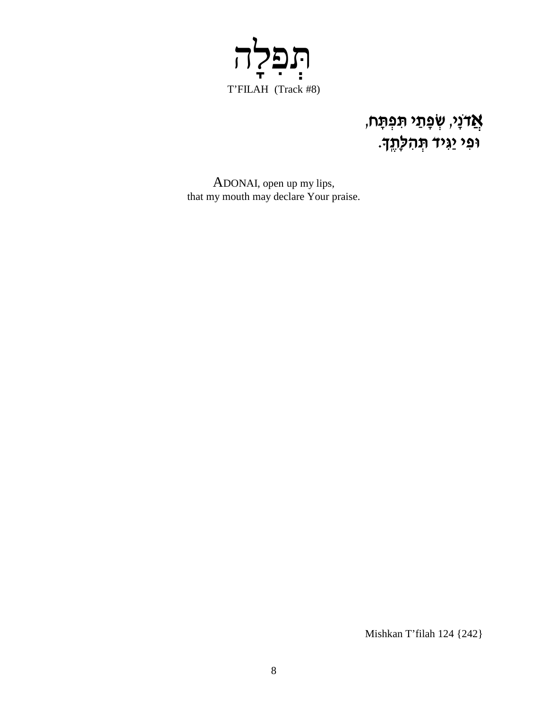

# **אֲד**ֹנָי, שְׂפָתַי תִּפְתָּח,<br>וּפִי יַגִּיד תְּהלְתֶךָ.

ADONAI, open up my lips, that my mouth may declare Your praise.

Mishkan T'filah 124 {242}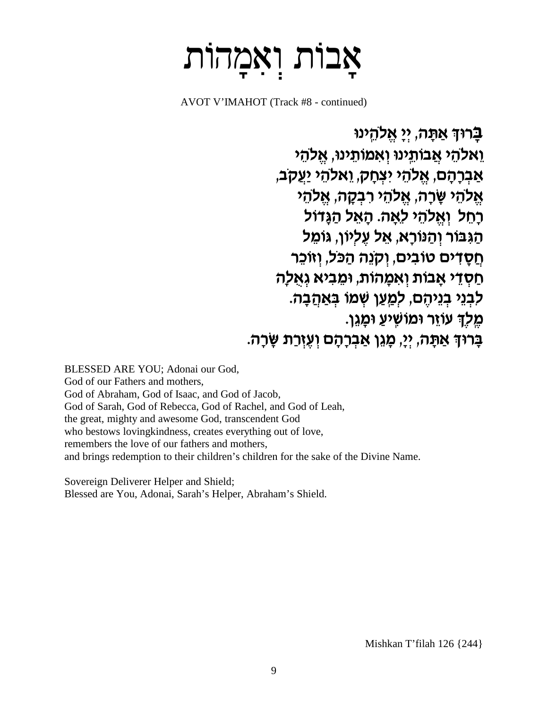### אבות ואמהות

AVOT V'IMAHOT (Track #8 - continued)

ַבָרוּךְ אַתָּה, יִי אֱלהֵינוּ וֵאלהֵי אֲבוֹתֵינו וְאמוֹתֵינוּ, אֱלהֵי אַבְרַהָם, אֱלֹהֵי יִצְחַק, וֵאלֹהֵי יַעֲקִב, אֵלהֵי שַׂרַה, אֱלהֵי רִבְקָה, אֱלהֵי רחל ואלהי לאה. האל הגדול הַגְּבּוֹר וְהַנוֹרַא, אֵל עֵלְיוֹן, גּוֹמֵל חֵסָדים טובים, וִקְנֵה הִכּל, וְזוֹכֵר חַסְדֵי אֲבוֹת וְאִמָּהוֹת, וּמֵבִיא גְאָלָה ַלְבְנֵי בְנֵיהֶם, לְמֵעֲן שְׁמֹו בְּאֲהָבָה. מֵלֶךְ עוֹזֵר וּמוֹשֵׁיעַ וּמַגֵן. ַבְּרוּדְ אַתַּה, יִיַ, מַגֶן אַבְרַהָם וְעֵזְרַת שַׂרַה.

BLESSED ARE YOU; Adonai our God, God of our Fathers and mothers. God of Abraham, God of Isaac, and God of Jacob, God of Sarah, God of Rebecca, God of Rachel, and God of Leah, the great, mighty and awesome God, transcendent God who bestows loving kindness, creates everything out of love, remembers the love of our fathers and mothers. and brings redemption to their children's children for the sake of the Divine Name.

Sovereign Deliverer Helper and Shield; Blessed are You, Adonai, Sarah's Helper, Abraham's Shield.

Mishkan T'filah 126  $\{244\}$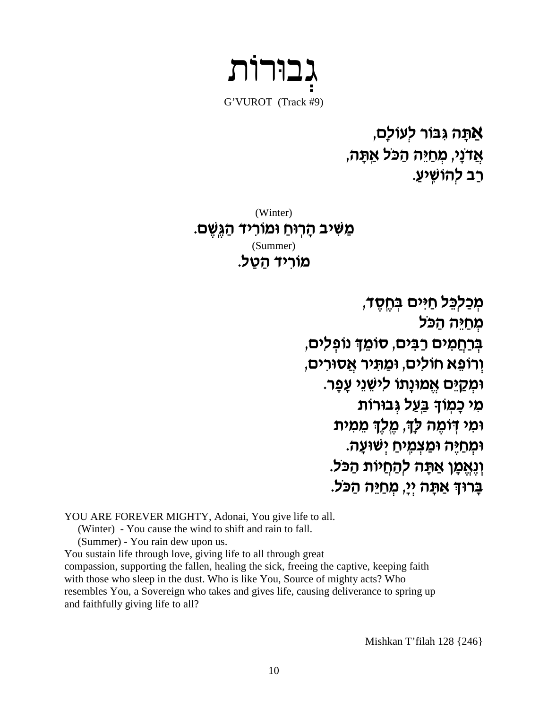גבוּרוֹת G'VUROT (Track #9)

אַתָּה גִּבּוֹר לְעוֹלָם, אֲדֹנַי, מִחַיֵּה הַכֹּל אַתָּה, רַב לְהוֹשֵׁיעַ.

(Winter) מַשִּׁיב הָרוּחַ וּמוֹרִיד הַגְּשֶׁם. (Summer) מוריד הטל.

> מְכַלְכֵל חַיּים בְחֵסֵד, מְחַיֵּה הַכּל בְרַחֲמִים רַבִּים, סוֹמֵךְ נוֹפְלִים, וְרוֹפֵא חוֹלִים, וּמַתִּיר אֲסוּרִים, וּמְקַיֵּם אֱמוּנַתוֹ לִישֶׁנֵי עֲפַר. מי כמוד בעל גבורות ומי דומה לך, מלך ממית ומחיה ומצמיח ישועה. וְנֵאֵמַן אַתַּה לְהַחֲיוֹת הִכּל. ברוד אתה יי, מחיה הכל.

YOU ARE FOREVER MIGHTY, Adonai, You give life to all.

(Winter) - You cause the wind to shift and rain to fall.

(Summer) - You rain dew upon us.

You sustain life through love, giving life to all through great compassion, supporting the fallen, healing the sick, freeing the captive, keeping faith with those who sleep in the dust. Who is like You, Source of mighty acts? Who resembles You, a Sovereign who takes and gives life, causing deliverance to spring up

and faithfully giving life to all?

Mishkan T'filah 128  $\{246\}$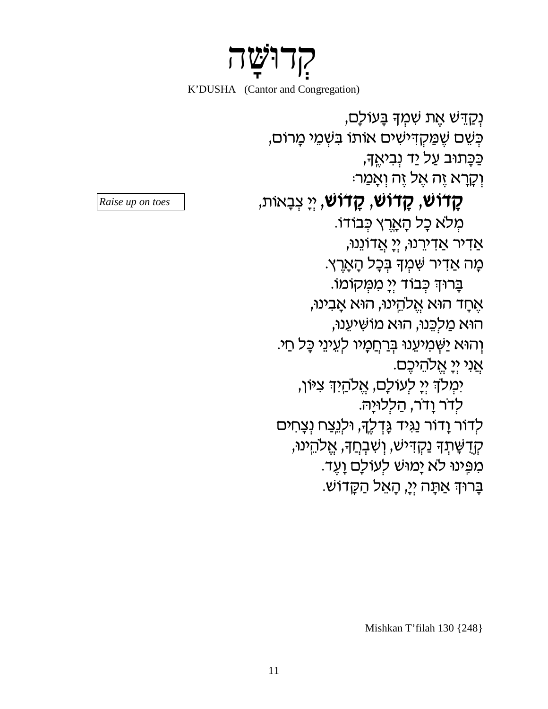门忆

K'DUSHA (Cantor and Congregation)

ַנְקַדֵּשׁ אֵת שָׁמְדְּ בַּעוֹלַם, כִּשֵׁם שֶׁמַקְדִישִׁים אוֹתוֹ בִּשְׁמֵי מָרוֹם, ַכְּכַּתוּב עַל יַד נְבִיאֵדּ, ּוְקָרָא זֵה אֵל זֵה וְאָמַר: **קָדוֹשׁ, קָדוֹשׁ, קָדוֹשׁ,** יְיָ צְבָאוֹת, מִלֹא כַל הַאֲרֶץ כִּבוֹדוֹ. <u>אַ</u>דיר אַדירֵנוּ, יִיַ אֲדוֹנֵנוּ, מָה אַדִיר שָׁמִךְ בְּכָל הָאָרֵץ. בָרוּךְ כְּבוֹד יִיָ מִמְקוֹמוֹ. אֵחַד הוּא אֱלהֵינוּ, הוּא אֲבִינוּ, הוא מַלְכֵּנוּ, הוּא מוֹשִׁיעֵנוּ, וְהוּא יַשְׁמִיעֶנוּ בְּ<u>רְחֲמָ</u>יו לְעֵינֵי כָּל חַי. אֲנִי יִי אֲלְהֵיכֶם. ימלד יִי לעולם, אֱלהַיִד צִיּוֹן, לדר וַדר, הַללוּיַה. לְדוֹר וָדוֹר נַגִּיד גָּדְלֶךָ, וּלְג<u>ֵצ</u>ח נְצָחִים קְדָשָׁתִךְ נַקְדִּישׁ, וְשָׁבְחֵךְ, אֱלְהֵינוּ, מְפֵינוּ לא יַמוּשׁ לְעוֹלַם וַעֵד. ַבָּרוּדְ אֲתַּה יְיָ, הָאֱל הַקֲדוֹשׁ.

Raise up on toes

Mishkan T'filah 130 {248}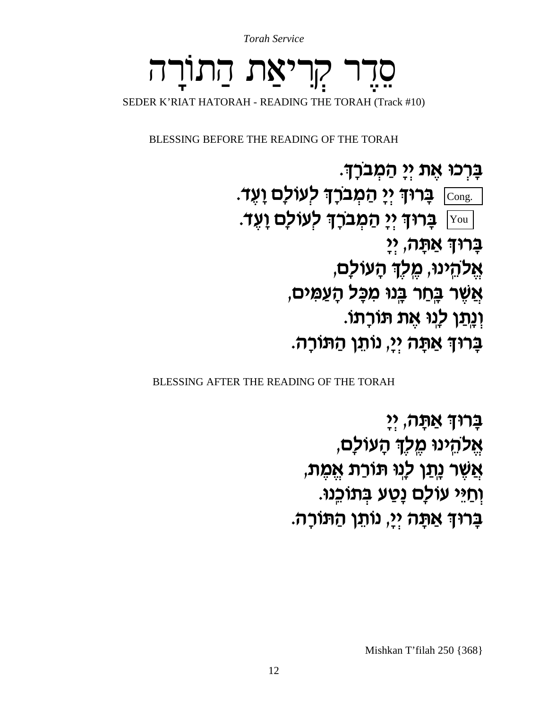**Torah Service** 

### קריאת התורה SEDER K'RIAT HATORAH - READING THE TORAH (Track #10)

BLESSING BEFORE THE READING OF THE TORAH

ּבַּרְכוּ אֵת יִיַ הַמְבֹּרָךָ. ַבְרוּךְ יִי הַמְבֹרָךְ לְעוֹלַם וַעֵּד. [עוֹלָם וַעֵד יִי הַמְבְרָך לְעוֹלַם וַעֵד. ַבְרוּךְ אַתָּה, יִי אֱלהֵינוּ, מֶלְךָ הָעוֹלַם, אֲשֶׁר בֶּחַר בֶּנוּ מִכָּל הָעֲמִים, וְנַתַּן לְנוּ אֵת תּוֹרָתוֹ. בָרוּךְ אַתָּה יִיַ, נוֹתֵן הַתּוֹרַה.

BLESSING AFTER THE READING OF THE TORAH

ְבָרוּךְ אַתָּה, יִי אֵלהֵינוּ מֵלֶךְ הָעוֹלָם, אֲשֶׁר נ<u>ָת</u>ַן לְנִוּ תּוֹרַת אֱמֶת, וְחַיֵּי עוֹלַם נָטַע בִּתוֹכֵנוּ. בַּרוּדְ אַתַּה יְיַ, נוֹתֵן הַתּוֹרַה.

Mishkan T'filah 250 {368}